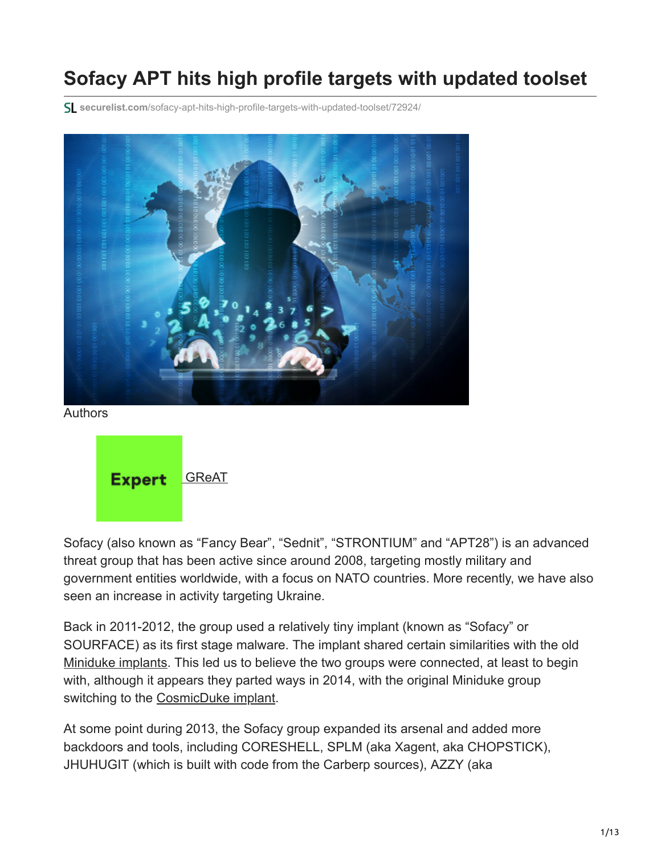# **Sofacy APT hits high profile targets with updated toolset**

**securelist.com**[/sofacy-apt-hits-high-profile-targets-with-updated-toolset/72924/](https://securelist.com/sofacy-apt-hits-high-profile-targets-with-updated-toolset/72924/)



Authors



Sofacy (also known as "Fancy Bear", "Sednit", "STRONTIUM" and "APT28") is an advanced threat group that has been active since around 2008, targeting mostly military and government entities worldwide, with a focus on NATO countries. More recently, we have also seen an increase in activity targeting Ukraine.

Back in 2011-2012, the group used a relatively tiny implant (known as "Sofacy" or SOURFACE) as its first stage malware. The implant shared certain similarities with the old [Miniduke implants](https://securelist.com/the-miniduke-mystery-pdf-0-day-government-spy-assembler-0x29a-micro-backdoor/31112/). This led us to believe the two groups were connected, at least to begin with, although it appears they parted ways in 2014, with the original Miniduke group switching to the [CosmicDuke implant](https://securelist.com/miniduke-is-back-nemesis-gemina-and-the-botgen-studio/64107/).

At some point during 2013, the Sofacy group expanded its arsenal and added more backdoors and tools, including CORESHELL, SPLM (aka Xagent, aka CHOPSTICK), JHUHUGIT (which is built with code from the Carberp sources), AZZY (aka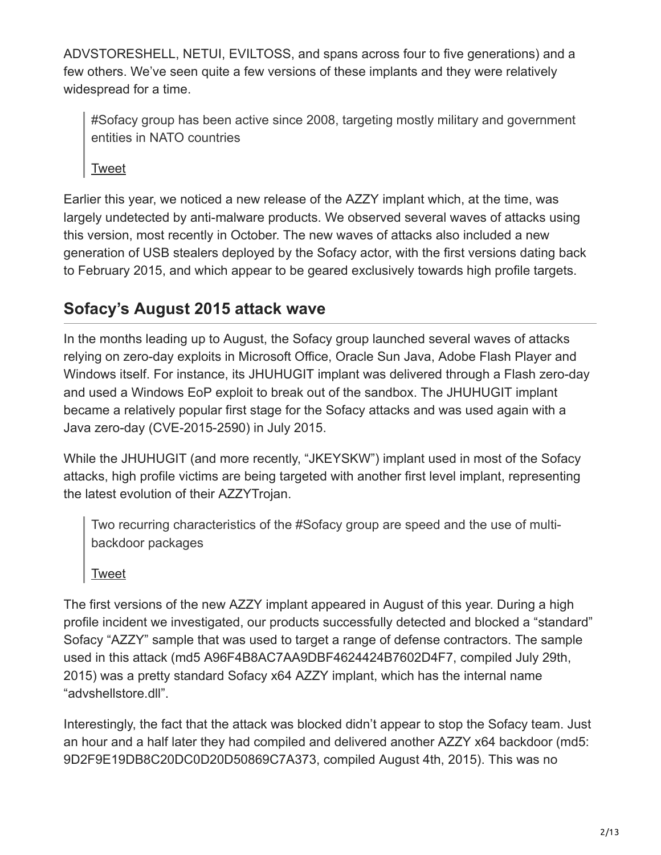ADVSTORESHELL, NETUI, EVILTOSS, and spans across four to five generations) and a few others. We've seen quite a few versions of these implants and they were relatively widespread for a time.

#Sofacy group has been active since 2008, targeting mostly military and government entities in NATO countries

[Tweet](https://twitter.com/share?url=https%3A%2F%2Fsecurelist.com%2Fsofacy-apt-hits-high-profile-targets-with-updated-toolset%2F72924%2F&text=%23Sofacy+group+has+been+active+since+2008%2C+targeting+mostly+military+and+government+entities+in+NATO+countries)

Earlier this year, we noticed a new release of the AZZY implant which, at the time, was largely undetected by anti-malware products. We observed several waves of attacks using this version, most recently in October. The new waves of attacks also included a new generation of USB stealers deployed by the Sofacy actor, with the first versions dating back to February 2015, and which appear to be geared exclusively towards high profile targets.

## **Sofacy's August 2015 attack wave**

In the months leading up to August, the Sofacy group launched several waves of attacks relying on zero-day exploits in Microsoft Office, Oracle Sun Java, Adobe Flash Player and Windows itself. For instance, its JHUHUGIT implant was delivered through a Flash zero-day and used a Windows EoP exploit to break out of the sandbox. The JHUHUGIT implant became a relatively popular first stage for the Sofacy attacks and was used again with a Java zero-day (CVE-2015-2590) in July 2015.

While the JHUHUGIT (and more recently, "JKEYSKW") implant used in most of the Sofacy attacks, high profile victims are being targeted with another first level implant, representing the latest evolution of their AZZYTrojan.

Two recurring characteristics of the #Sofacy group are speed and the use of multibackdoor packages

[Tweet](https://twitter.com/share?url=https%3A%2F%2Fsecurelist.com%2Fsofacy-apt-hits-high-profile-targets-with-updated-toolset%2F72924%2F&text=Two+recurring+characteristics+of+the+%23Sofacy+group+are+speed+and+the+use+of+multi-backdoor+packages)

The first versions of the new AZZY implant appeared in August of this year. During a high profile incident we investigated, our products successfully detected and blocked a "standard" Sofacy "AZZY" sample that was used to target a range of defense contractors. The sample used in this attack (md5 A96F4B8AC7AA9DBF4624424B7602D4F7, compiled July 29th, 2015) was a pretty standard Sofacy x64 AZZY implant, which has the internal name "advshellstore.dll".

Interestingly, the fact that the attack was blocked didn't appear to stop the Sofacy team. Just an hour and a half later they had compiled and delivered another AZZY x64 backdoor (md5: 9D2F9E19DB8C20DC0D20D50869C7A373, compiled August 4th, 2015). This was no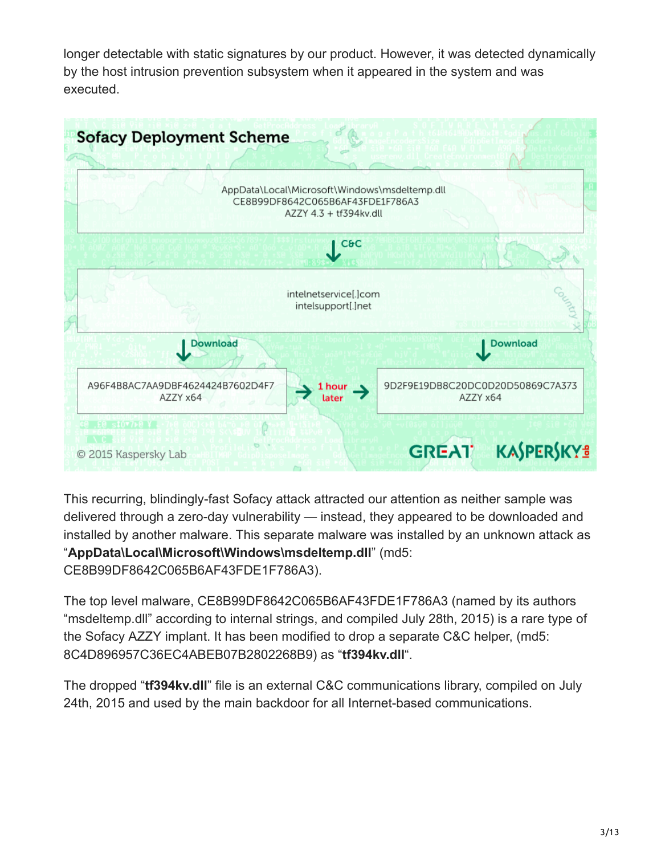longer detectable with static signatures by our product. However, it was detected dynamically by the host intrusion prevention subsystem when it appeared in the system and was executed.



This recurring, blindingly-fast Sofacy attack attracted our attention as neither sample was delivered through a zero-day vulnerability — instead, they appeared to be downloaded and installed by another malware. This separate malware was installed by an unknown attack as "**AppData\Local\Microsoft\Windows\msdeltemp.dll**" (md5:

CE8B99DF8642C065B6AF43FDE1F786A3).

The top level malware, CE8B99DF8642C065B6AF43FDE1F786A3 (named by its authors "msdeltemp.dll" according to internal strings, and compiled July 28th, 2015) is a rare type of the Sofacy AZZY implant. It has been modified to drop a separate C&C helper, (md5: 8C4D896957C36EC4ABEB07B2802268B9) as "**tf394kv.dll**".

The dropped "**tf394kv.dll**" file is an external C&C communications library, compiled on July 24th, 2015 and used by the main backdoor for all Internet-based communications.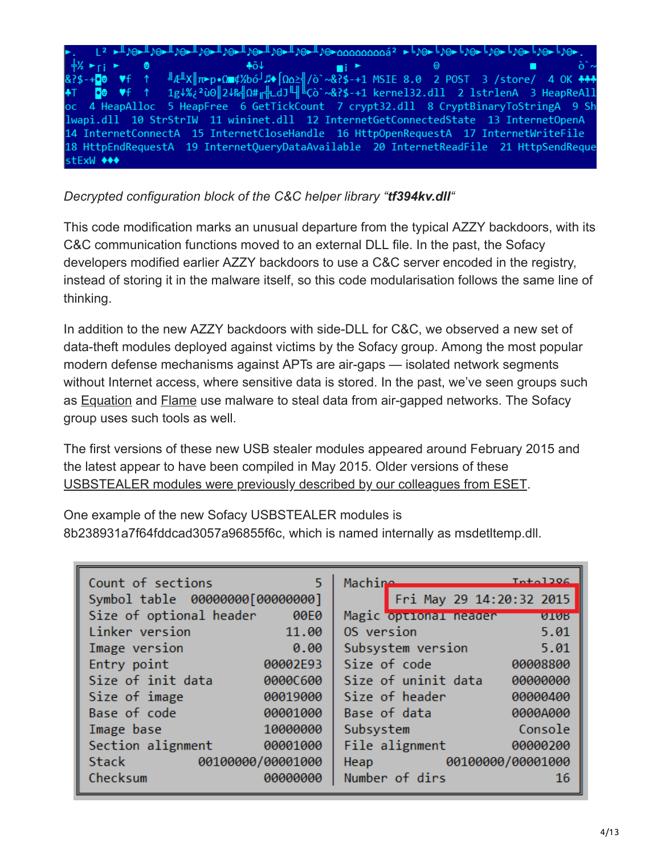

*Decrypted configuration block of the C&C helper library "tf394kv.dll"*

This code modification marks an unusual departure from the typical AZZY backdoors, with its C&C communication functions moved to an external DLL file. In the past, the Sofacy developers modified earlier AZZY backdoors to use a C&C server encoded in the registry, instead of storing it in the malware itself, so this code modularisation follows the same line of thinking.

In addition to the new AZZY backdoors with side-DLL for C&C, we observed a new set of data-theft modules deployed against victims by the Sofacy group. Among the most popular modern defense mechanisms against APTs are air-gaps — isolated network segments without Internet access, where sensitive data is stored. In the past, we've seen groups such as **[Equation](https://securelist.com/equation-the-death-star-of-malware-galaxy/68750/)** and [Flame](https://securelist.com/the-flame-questions-and-answers/34344/) use malware to steal data from air-gapped networks. The Sofacy group uses such tools as well.

The first versions of these new USB stealer modules appeared around February 2015 and the latest appear to have been compiled in May 2015. Older versions of these [USBSTEALER modules were previously described by our colleagues from ESET](http://www.welivesecurity.com/2014/11/11/sednit-espionage-group-attacking-air-gapped-networks/).

One example of the new Sofacy USBSTEALER modules is 8b238931a7f64fddcad3057a96855f6c, which is named internally as msdetltemp.dll.

| Count of sections       | $Tn+01206$                                                                                                    |
|-------------------------|---------------------------------------------------------------------------------------------------------------|
| 5.                      | Machine                                                                                                       |
|                         | Fri May 29 14:20:32 2015                                                                                      |
| Size of optional header | Magic optional neader                                                                                         |
| 00E0                    | <b>ATAR</b>                                                                                                   |
| Linker version          | OS version                                                                                                    |
| 11.00                   | 5.01                                                                                                          |
| Image version           | Subsystem version                                                                                             |
| 0.00                    | 5.01                                                                                                          |
| 00002E93                | Size of code                                                                                                  |
| Entry point             | 00008800                                                                                                      |
| Size of init data       | Size of uninit data                                                                                           |
| 0000C600                | 00000000                                                                                                      |
| Size of image           | Size of header                                                                                                |
| 00019000                | 00000400                                                                                                      |
| Base of code            | Base of data                                                                                                  |
| 00001000                | 0000A000                                                                                                      |
| 10000000                | Console                                                                                                       |
| Image base              | Subsystem                                                                                                     |
| Section alignment       | File alignment                                                                                                |
| 00001000                | 00000200                                                                                                      |
| 00100000/00001000       | 00100000/00001000                                                                                             |
| Stack                   | Heap and the state of the state of the state of the state of the state of the state of the state of the state |
| Checksum                | Number of dirs                                                                                                |
| 00000000                | <b>16</b>                                                                                                     |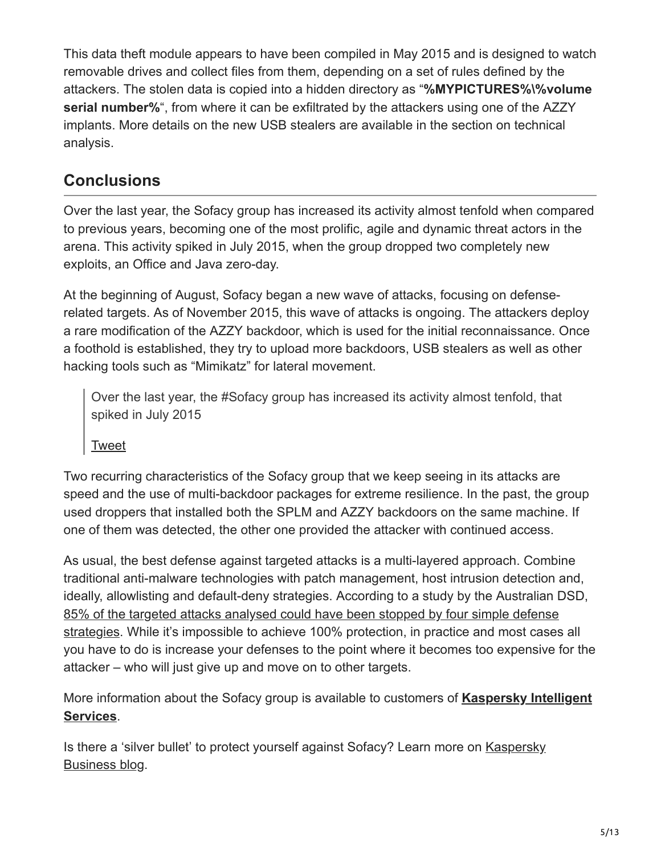This data theft module appears to have been compiled in May 2015 and is designed to watch removable drives and collect files from them, depending on a set of rules defined by the attackers. The stolen data is copied into a hidden directory as "**%MYPICTURES%\%volume serial number%**", from where it can be exfiltrated by the attackers using one of the AZZY implants. More details on the new USB stealers are available in the section on technical analysis.

## **Conclusions**

Over the last year, the Sofacy group has increased its activity almost tenfold when compared to previous years, becoming one of the most prolific, agile and dynamic threat actors in the arena. This activity spiked in July 2015, when the group dropped two completely new exploits, an Office and Java zero-day.

At the beginning of August, Sofacy began a new wave of attacks, focusing on defenserelated targets. As of November 2015, this wave of attacks is ongoing. The attackers deploy a rare modification of the AZZY backdoor, which is used for the initial reconnaissance. Once a foothold is established, they try to upload more backdoors, USB stealers as well as other hacking tools such as "Mimikatz" for lateral movement.

Over the last year, the #Sofacy group has increased its activity almost tenfold, that spiked in July 2015

[Tweet](https://twitter.com/share?url=https%3A%2F%2Fsecurelist.com%2Fsofacy-apt-hits-high-profile-targets-with-updated-toolset%2F72924%2F&text=Over+the+last+year%2C+the+%23Sofacy+group+has+increased+its+activity+almost+tenfold%2C+that+spiked+in+July+2015)

Two recurring characteristics of the Sofacy group that we keep seeing in its attacks are speed and the use of multi-backdoor packages for extreme resilience. In the past, the group used droppers that installed both the SPLM and AZZY backdoors on the same machine. If one of them was detected, the other one provided the attacker with continued access.

As usual, the best defense against targeted attacks is a multi-layered approach. Combine traditional anti-malware technologies with patch management, host intrusion detection and, ideally, allowlisting and default-deny strategies. According to a study by the Australian DSD, 85% of the targeted attacks analysed could have been stopped by four simple defense [strategies. While it's impossible to achieve 100% protection, in practice and most cases](https://securelist.com/blog/software/69887/how-to-mitigate-85-of-threats-with-only-four-strategies/) all you have to do is increase your defenses to the point where it becomes too expensive for the attacker – who will just give up and move on to other targets.

[More information about the Sofacy group is available to customers of](https://www.kaspersky.com/enterprise-security/apt-intelligence-reporting) **Kaspersky Intelligent Services**.

[Is there a 'silver bullet' to protect yourself against Sofacy? Learn more on Kaspersky](https://www.kaspersky.com/blog/sofacy-2017-update/21227/) Business blog.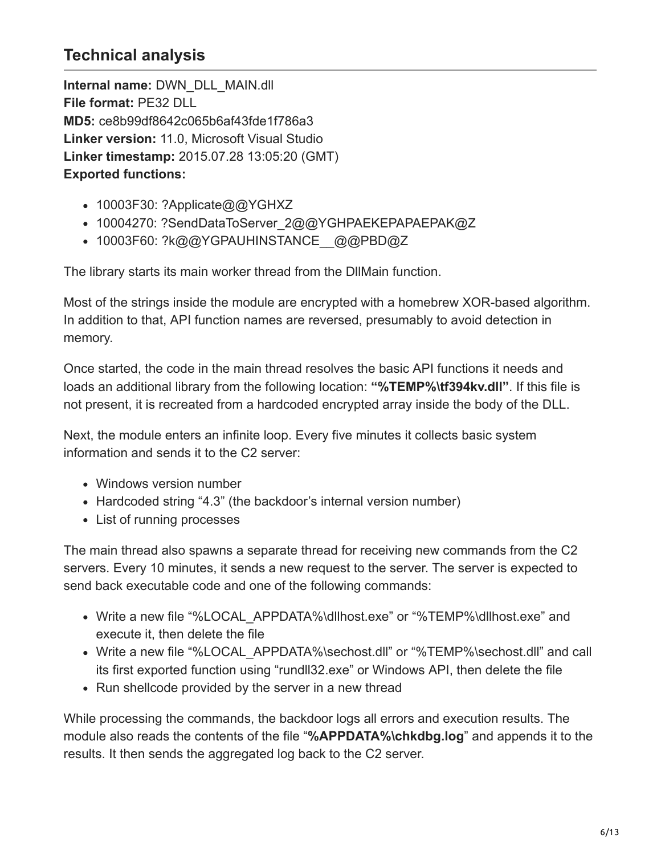## **Technical analysis**

**Internal name:** DWN\_DLL\_MAIN.dll **File format:** PE32 DLL **MD5:** ce8b99df8642c065b6af43fde1f786a3 **Linker version:** 11.0, Microsoft Visual Studio **Linker timestamp:** 2015.07.28 13:05:20 (GMT) **Exported functions:**

- 10003F30: ?Applicate@@YGHXZ
- 10004270: ?SendDataToServer\_2@@YGHPAEKEPAPAEPAK@Z
- 10003F60: ?k@@YGPAUHINSTANCE @@PBD@Z

The library starts its main worker thread from the DllMain function.

Most of the strings inside the module are encrypted with a homebrew XOR-based algorithm. In addition to that, API function names are reversed, presumably to avoid detection in memory.

Once started, the code in the main thread resolves the basic API functions it needs and loads an additional library from the following location: **"%TEMP%\tf394kv.dll"**. If this file is not present, it is recreated from a hardcoded encrypted array inside the body of the DLL.

Next, the module enters an infinite loop. Every five minutes it collects basic system information and sends it to the C2 server:

- Windows version number
- Hardcoded string "4.3" (the backdoor's internal version number)
- List of running processes

The main thread also spawns a separate thread for receiving new commands from the C2 servers. Every 10 minutes, it sends a new request to the server. The server is expected to send back executable code and one of the following commands:

- Write a new file "%LOCAL\_APPDATA%\dllhost.exe" or "%TEMP%\dllhost.exe" and execute it, then delete the file
- Write a new file "%LOCAL\_APPDATA%\sechost.dll" or "%TEMP%\sechost.dll" and call its first exported function using "rundll32.exe" or Windows API, then delete the file
- Run shellcode provided by the server in a new thread

While processing the commands, the backdoor logs all errors and execution results. The module also reads the contents of the file "**%APPDATA%\chkdbg.log**" and appends it to the results. It then sends the aggregated log back to the C2 server.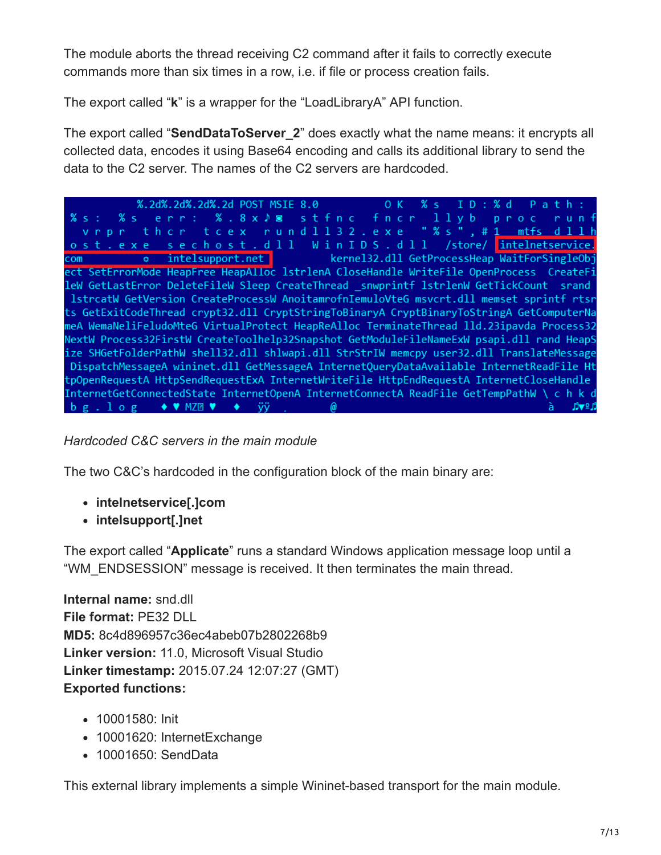The module aborts the thread receiving C2 command after it fails to correctly execute commands more than six times in a row, i.e. if file or process creation fails.

The export called "**k**" is a wrapper for the "LoadLibraryA" API function.

The export called "**SendDataToServer\_2**" does exactly what the name means: it encrypts all collected data, encodes it using Base64 encoding and calls its additional library to send the data to the C2 server. The names of the C2 servers are hardcoded.

%.2d%.2d%.2d%.2d POST MSIE 8.0  $0K$  $%$  s  $ID: % d$  $P$  a  $t$   $h$  :  $% s :$ %s err: %.8x♪⊠ stfnc fncr llyb proc runf vrpr ther teex rundll32.exe "%s",#1 mtfs dllh ost.exe sechost.dll WinIDS.dll /store/ intelnetservice. com o intelsupport.net kernel32.dll GetProcessHeap WaitForSingleObj ect SetErrorMode HeapFree HeapAlloc 1strlenA CloseHandle WriteFile OpenProcess CreateFi leW GetLastError DeleteFileW Sleep CreateThread \_snwprintf lstrlenW GetTickCount srand lstrcatW GetVersion CreateProcessW AnoitamrofnIemuloVteG msvcrt.dll memset sprintf rtsr ts GetExitCodeThread crypt32.dll CryptStringToBinaryA CryptBinaryToStringA GetComputerNa meA WemaNeliFeludoMteG VirtualProtect HeapReAlloc TerminateThread lld.23ipavda Process32 NextW Process32FirstW CreateToolhelp32Snapshot GetModuleFileNameExW psapi.dll rand HeapS ize SHGetFolderPathW shell32.dll shlwapi.dll StrStrIW memcpy user32.dll TranslateMessage DispatchMessageA wininet.dll GetMessageA InternetQueryDataAvailable InternetReadFile Ht tpOpenRequestA HttpSendRequestExA InternetWriteFile HttpEndRequestA InternetCloseHandle InternetGetConnectedState InternetOpenA InternetConnectA ReadFile GetTempPathW \ c h k d  $\mathbf{b} \mathbf{g}$ .  $\mathbf{1} \mathbf{o} \mathbf{g}$   $\blacklozenge \blacklozenge$   $\mathbf{W}$   $\mathbf{MZ}$   $\mathbf{R}$   $\blacklozenge$   $\mathbf{W}$   $\mathbf{y}$   $\mathbf{y}$   $\mathbf{y}$   $\mathbf{y}$   $\mathbf{y}$   $\mathbf{y}$ à *β*v∘β

## *Hardcoded C&C servers in the main module*

The two C&C's hardcoded in the configuration block of the main binary are:

- **intelnetservice[.]com**
- **intelsupport[.]net**

The export called "**Applicate**" runs a standard Windows application message loop until a "WM\_ENDSESSION" message is received. It then terminates the main thread.

**Internal name:** snd.dll **File format:** PE32 DLL **MD5:** 8c4d896957c36ec4abeb07b2802268b9 **Linker version:** 11.0, Microsoft Visual Studio **Linker timestamp:** 2015.07.24 12:07:27 (GMT) **Exported functions:**

- 10001580: Init
- 10001620: InternetExchange
- 10001650: SendData

This external library implements a simple Wininet-based transport for the main module.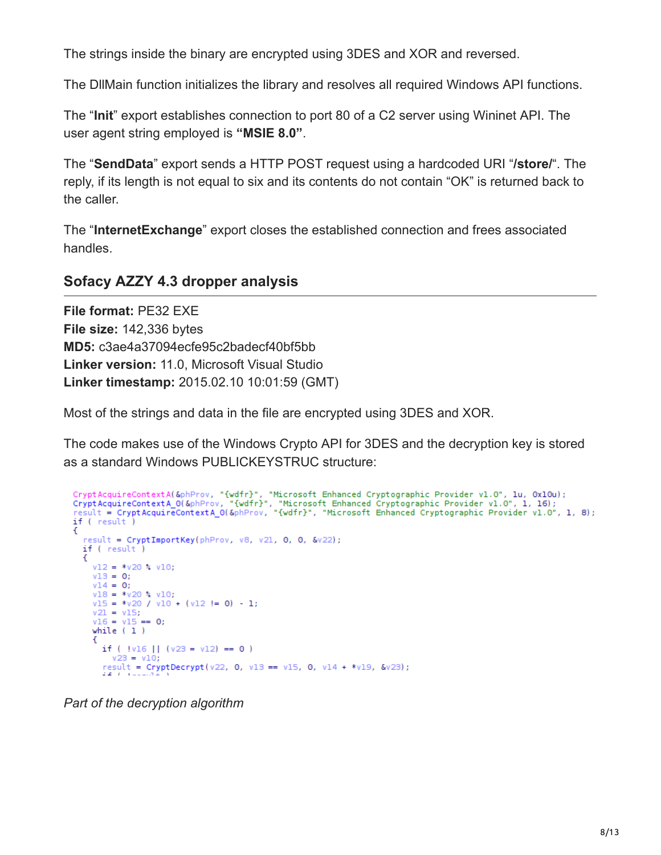The strings inside the binary are encrypted using 3DES and XOR and reversed.

The DllMain function initializes the library and resolves all required Windows API functions.

The "**Init**" export establishes connection to port 80 of a C2 server using Wininet API. The user agent string employed is **"MSIE 8.0"**.

The "**SendData**" export sends a HTTP POST request using a hardcoded URI "**/store/**". The reply, if its length is not equal to six and its contents do not contain "OK" is returned back to the caller.

The "**InternetExchange**" export closes the established connection and frees associated handles.

## **Sofacy AZZY 4.3 dropper analysis**

**File format:** PE32 EXE **File size:** 142,336 bytes **MD5:** c3ae4a37094ecfe95c2badecf40bf5bb **Linker version:** 11.0, Microsoft Visual Studio **Linker timestamp:** 2015.02.10 10:01:59 (GMT)

Most of the strings and data in the file are encrypted using 3DES and XOR.

The code makes use of the Windows Crypto API for 3DES and the decryption key is stored as a standard Windows PUBLICKEYSTRUC structure:

```
CryptAcquireContextA(&phProv, "{wdfr}", "Microsoft Enhanced Cryptographic Provider v1.0", 1u, 0x10u);<br>CryptAcquireContextA_0(&phProv, "{wdfr}", "Microsoft Enhanced Cryptographic Provider v1.0", 1, 16);<br>result = CryptAcquir
if ( result )
ſ
  result = CryptImportKey(phProv, v8, v21, 0, 0, &v22);
  if ( result )
     v12 = *v20 % v10;
     v13 = 0;v14 = 0:
     v18 = *v20 * v10;v15 = *v20 / v10 + (v12 != 0) - 1;v21 = v15;v16 = v15 == 0;while (1)К
       if ( |v16| | (v23 = v12) == 0 )
         v23 = v10;result = CryptDecrypt(v22, 0, v13 == v15, 0, v14 + *v19, &v23);
```
*Part of the decryption algorithm*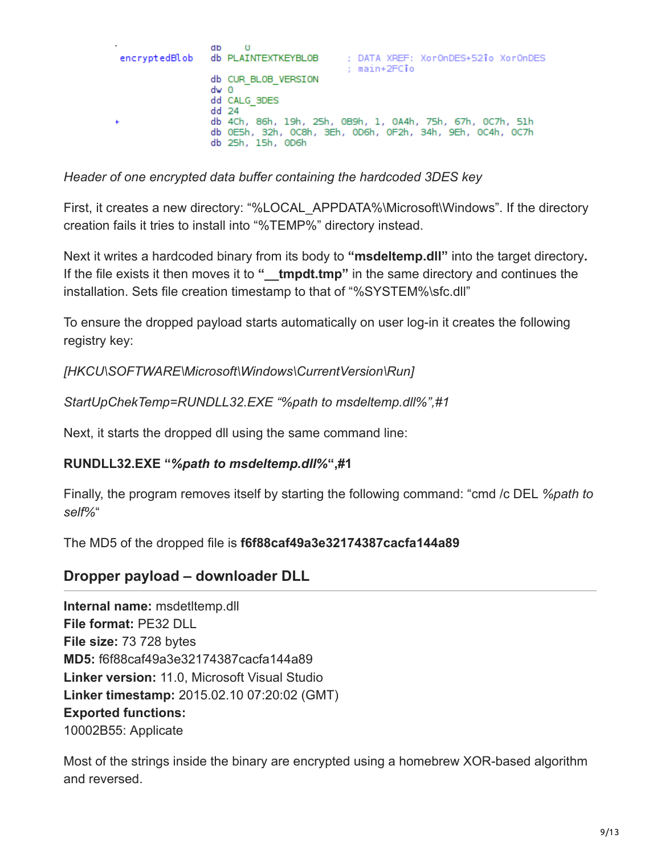| db<br>$\Theta$<br>: DATA XREF: XorOnDES+521o XorOnDES<br>encryptedBlob db PLAINTEXTKEYBLOB                                                                             |
|------------------------------------------------------------------------------------------------------------------------------------------------------------------------|
| : main+2FCîo<br>db CUR BLOB VERSION<br>dw 0                                                                                                                            |
| dd CALG 3DES<br>$dd$ 24<br>db 4Ch, 86h, 19h, 25h, 0B9h, 1, 0A4h, 75h, 67h, 0C7h, 51h<br>db 0E5h, 32h, 0C8h, 3Eh, 0D6h, 0F2h, 34h, 9Eh, 0C4h, 0C7h<br>db 25h, 15h, 0D6h |

*Header of one encrypted data buffer containing the hardcoded 3DES key*

First, it creates a new directory: "%LOCAL\_APPDATA%\Microsoft\Windows". If the directory creation fails it tries to install into "%TEMP%" directory instead.

Next it writes a hardcoded binary from its body to **"msdeltemp.dll"** into the target directory**.** If the file exists it then moves it to " **tmpdt.tmp**" in the same directory and continues the installation. Sets file creation timestamp to that of "%SYSTEM%\sfc.dll"

To ensure the dropped payload starts automatically on user log-in it creates the following registry key:

*[HKCU\SOFTWARE\Microsoft\Windows\CurrentVersion\Run]*

*StartUpChekTemp=RUNDLL32.EXE "%path to msdeltemp.dll%",#1*

Next, it starts the dropped dll using the same command line:

#### **RUNDLL32.EXE "***%path to msdeltemp.dll%***",#1**

Finally, the program removes itself by starting the following command: "cmd /c DEL *%path to self%*"

The MD5 of the dropped file is **f6f88caf49a3e32174387cacfa144a89**

## **Dropper payload – downloader DLL**

**Internal name:** msdetltemp.dll **File format:** PE32 DLL **File size:** 73 728 bytes **MD5:** f6f88caf49a3e32174387cacfa144a89 **Linker version:** 11.0, Microsoft Visual Studio **Linker timestamp:** 2015.02.10 07:20:02 (GMT) **Exported functions:** 10002B55: Applicate

Most of the strings inside the binary are encrypted using a homebrew XOR-based algorithm and reversed.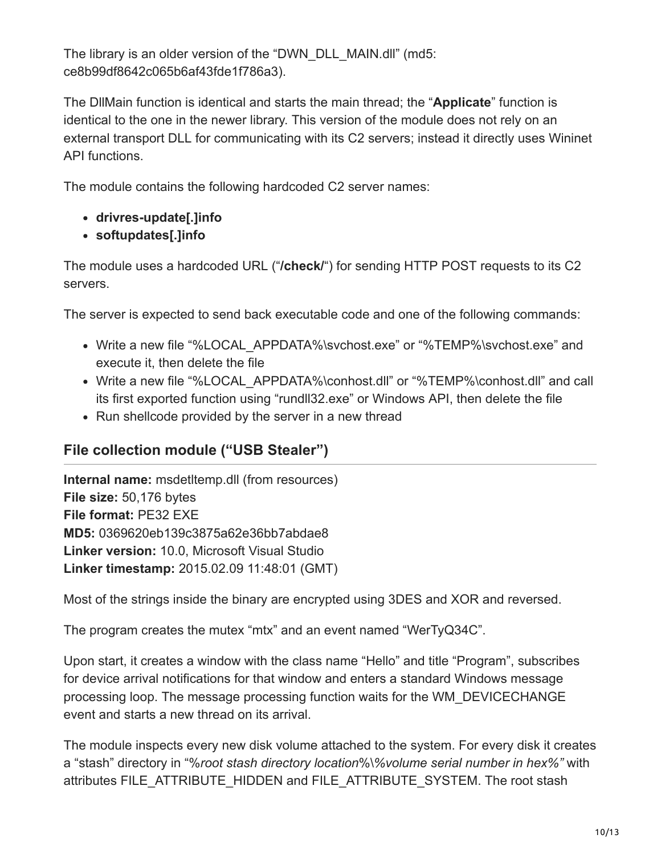The library is an older version of the "DWN\_DLL\_MAIN.dll" (md5: ce8b99df8642c065b6af43fde1f786a3).

The DllMain function is identical and starts the main thread; the "**Applicate**" function is identical to the one in the newer library. This version of the module does not rely on an external transport DLL for communicating with its C2 servers; instead it directly uses Wininet API functions.

The module contains the following hardcoded C2 server names:

- **drivres-update[.]info**
- **softupdates[.]info**

The module uses a hardcoded URL ("**/check/**") for sending HTTP POST requests to its C2 servers.

The server is expected to send back executable code and one of the following commands:

- Write a new file "%LOCAL\_APPDATA%\svchost.exe" or "%TEMP%\svchost.exe" and execute it, then delete the file
- Write a new file "%LOCAL\_APPDATA%\conhost.dll" or "%TEMP%\conhost.dll" and call its first exported function using "rundll32.exe" or Windows API, then delete the file
- Run shellcode provided by the server in a new thread

## **File collection module ("USB Stealer")**

**Internal name:** msdetltemp.dll (from resources) **File size:** 50,176 bytes **File format:** PE32 EXE **MD5:** 0369620eb139c3875a62e36bb7abdae8 **Linker version:** 10.0, Microsoft Visual Studio **Linker timestamp:** 2015.02.09 11:48:01 (GMT)

Most of the strings inside the binary are encrypted using 3DES and XOR and reversed.

The program creates the mutex "mtx" and an event named "WerTyQ34C".

Upon start, it creates a window with the class name "Hello" and title "Program", subscribes for device arrival notifications for that window and enters a standard Windows message processing loop. The message processing function waits for the WM\_DEVICECHANGE event and starts a new thread on its arrival.

The module inspects every new disk volume attached to the system. For every disk it creates a "stash" directory in "%*root stash directory location*%\*%volume serial number in hex%"* with attributes FILE\_ATTRIBUTE\_HIDDEN and FILE\_ATTRIBUTE\_SYSTEM. The root stash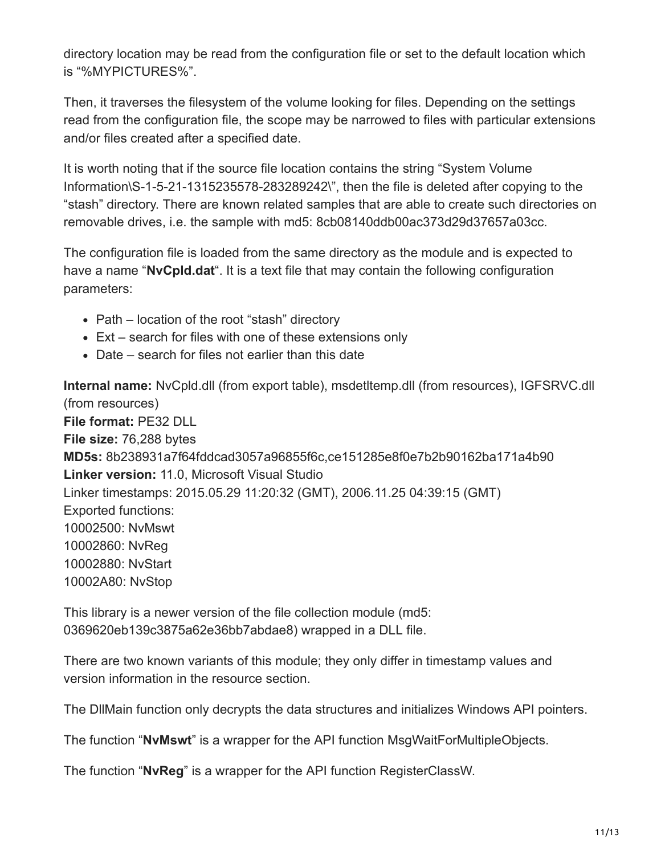directory location may be read from the configuration file or set to the default location which is "%MYPICTURES%".

Then, it traverses the filesystem of the volume looking for files. Depending on the settings read from the configuration file, the scope may be narrowed to files with particular extensions and/or files created after a specified date.

It is worth noting that if the source file location contains the string "System Volume Information\S-1-5-21-1315235578-283289242\", then the file is deleted after copying to the "stash" directory. There are known related samples that are able to create such directories on removable drives, i.e. the sample with md5: 8cb08140ddb00ac373d29d37657a03cc.

The configuration file is loaded from the same directory as the module and is expected to have a name "**NvCpld.dat**". It is a text file that may contain the following configuration parameters:

- Path location of the root "stash" directory
- Ext search for files with one of these extensions only
- Date search for files not earlier than this date

**Internal name:** NvCpld.dll (from export table), msdetltemp.dll (from resources), IGFSRVC.dll (from resources) **File format:** PE32 DLL **File size:** 76,288 bytes **MD5s:** 8b238931a7f64fddcad3057a96855f6c,ce151285e8f0e7b2b90162ba171a4b90 **Linker version:** 11.0, Microsoft Visual Studio Linker timestamps: 2015.05.29 11:20:32 (GMT), 2006.11.25 04:39:15 (GMT) Exported functions: 10002500: NvMswt 10002860: NvReg 10002880: NvStart 10002A80: NvStop

This library is a newer version of the file collection module (md5: 0369620eb139c3875a62e36bb7abdae8) wrapped in a DLL file.

There are two known variants of this module; they only differ in timestamp values and version information in the resource section.

The DllMain function only decrypts the data structures and initializes Windows API pointers.

The function "**NvMswt**" is a wrapper for the API function MsgWaitForMultipleObjects.

The function "**NvReg**" is a wrapper for the API function RegisterClassW.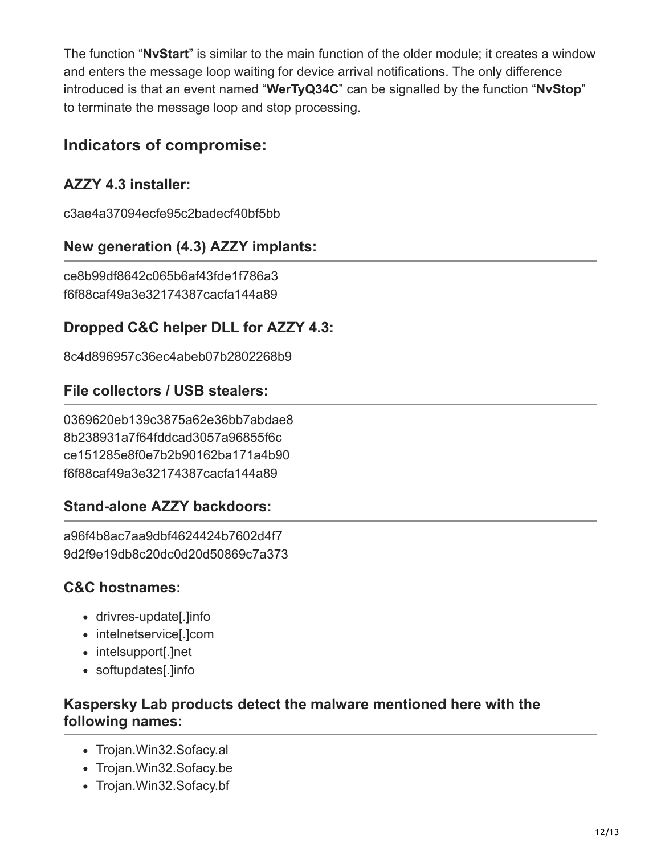The function "**NvStart**" is similar to the main function of the older module; it creates a window and enters the message loop waiting for device arrival notifications. The only difference introduced is that an event named "**WerTyQ34C**" can be signalled by the function "**NvStop**" to terminate the message loop and stop processing.

## **Indicators of compromise:**

## **AZZY 4.3 installer:**

c3ae4a37094ecfe95c2badecf40bf5bb

## **New generation (4.3) AZZY implants:**

ce8b99df8642c065b6af43fde1f786a3 f6f88caf49a3e32174387cacfa144a89

## **Dropped C&C helper DLL for AZZY 4.3:**

8c4d896957c36ec4abeb07b2802268b9

## **File collectors / USB stealers:**

0369620eb139c3875a62e36bb7abdae8 8b238931a7f64fddcad3057a96855f6c ce151285e8f0e7b2b90162ba171a4b90 f6f88caf49a3e32174387cacfa144a89

## **Stand-alone AZZY backdoors:**

a96f4b8ac7aa9dbf4624424b7602d4f7 9d2f9e19db8c20dc0d20d50869c7a373

## **C&C hostnames:**

- drivres-update[.]info
- intelnetservice[.]com
- intelsupport[.]net
- softupdates[.]info

## **Kaspersky Lab products detect the malware mentioned here with the following names:**

- Trojan. Win32. Sofacy.al
- Trojan.Win32.Sofacy.be
- Trojan. Win32. Sofacy. bf